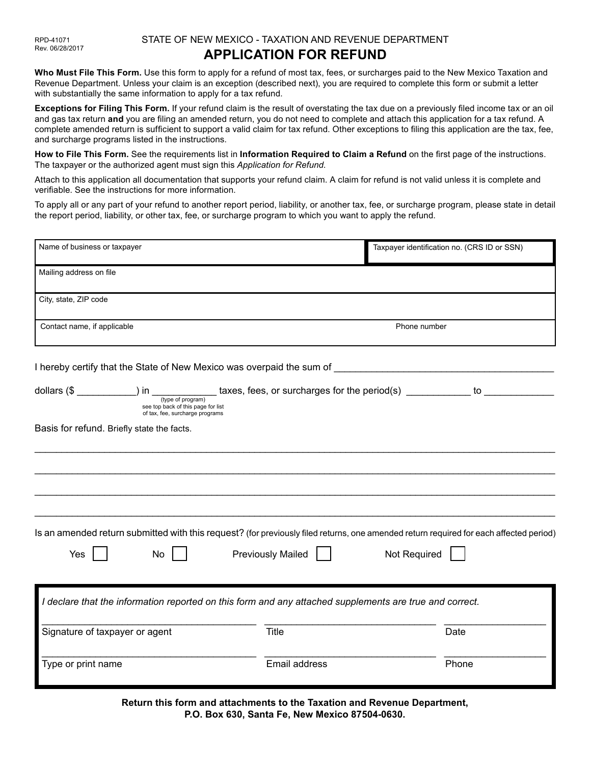## STATE OF NEW MEXICO - TAXATION AND REVENUE DEPARTMENT **APPLICATION FOR REFUND**

**Who Must File This Form.** Use this form to apply for a refund of most tax, fees, or surcharges paid to the New Mexico Taxation and Revenue Department. Unless your claim is an exception (described next), you are required to complete this form or submit a letter with substantially the same information to apply for a tax refund.

**Exceptions for Filing This Form.** If your refund claim is the result of overstating the tax due on a previously filed income tax or an oil and gas tax return **and** you are filing an amended return, you do not need to complete and attach this application for a tax refund. A complete amended return is sufficient to support a valid claim for tax refund. Other exceptions to filing this application are the tax, fee, and surcharge programs listed in the instructions.

**How to File This Form.** See the requirements list in **Information Required to Claim a Refund** on the first page of the instructions. The taxpayer or the authorized agent must sign this *Application for Refund*.

Attach to this application all documentation that supports your refund claim. A claim for refund is not valid unless it is complete and verifiable. See the instructions for more information.

To apply all or any part of your refund to another report period, liability, or another tax, fee, or surcharge program, please state in detail the report period, liability, or other tax, fee, or surcharge program to which you want to apply the refund.

| Name of business or taxpayer                                                                                                                        |                          | Taxpayer identification no. (CRS ID or SSN) |  |  |  |  |
|-----------------------------------------------------------------------------------------------------------------------------------------------------|--------------------------|---------------------------------------------|--|--|--|--|
| Mailing address on file                                                                                                                             |                          |                                             |  |  |  |  |
| City, state, ZIP code                                                                                                                               |                          |                                             |  |  |  |  |
| Contact name, if applicable                                                                                                                         | Phone number             |                                             |  |  |  |  |
|                                                                                                                                                     |                          |                                             |  |  |  |  |
| see top back of this page for list<br>of tax, fee, surcharge programs                                                                               |                          |                                             |  |  |  |  |
| Basis for refund. Briefly state the facts.                                                                                                          |                          |                                             |  |  |  |  |
|                                                                                                                                                     |                          |                                             |  |  |  |  |
|                                                                                                                                                     |                          |                                             |  |  |  |  |
|                                                                                                                                                     |                          |                                             |  |  |  |  |
| Is an amended return submitted with this request? (for previously filed returns, one amended return required for each affected period)<br>Yes<br>No | <b>Previously Mailed</b> | Not Required                                |  |  |  |  |
| I declare that the information reported on this form and any attached supplements are true and correct.                                             |                          |                                             |  |  |  |  |
| Signature of taxpayer or agent                                                                                                                      | Title                    | Date                                        |  |  |  |  |
| Type or print name                                                                                                                                  | Email address            | Phone                                       |  |  |  |  |

**Return this form and attachments to the Taxation and Revenue Department, P.O. Box 630, Santa Fe, New Mexico 87504-0630.**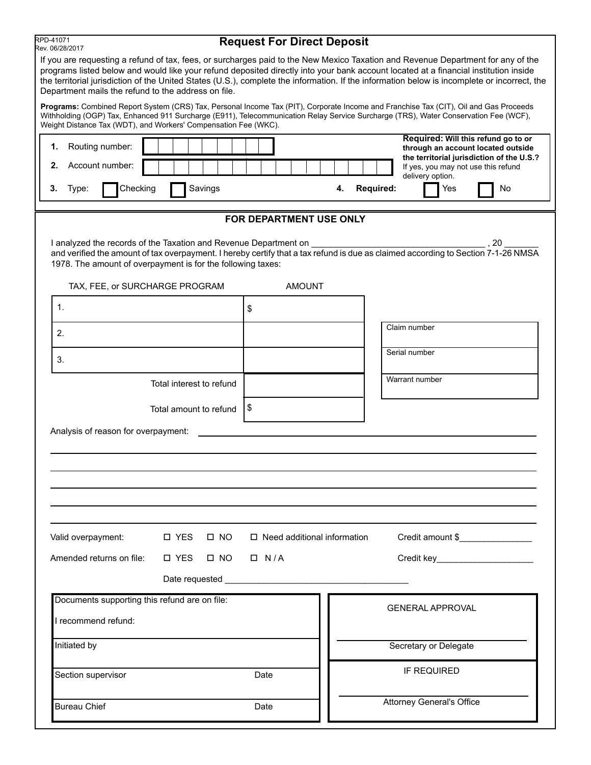| RPD-41071<br>Rev. 06/28/2017                                                                                                                    |                           | <b>Request For Direct Deposit</b> |    |                  |                                                                                                                                                                                                                                                                                                                                                                                                                          |
|-------------------------------------------------------------------------------------------------------------------------------------------------|---------------------------|-----------------------------------|----|------------------|--------------------------------------------------------------------------------------------------------------------------------------------------------------------------------------------------------------------------------------------------------------------------------------------------------------------------------------------------------------------------------------------------------------------------|
| Department mails the refund to the address on file.                                                                                             |                           |                                   |    |                  | If you are requesting a refund of tax, fees, or surcharges paid to the New Mexico Taxation and Revenue Department for any of the<br>programs listed below and would like your refund deposited directly into your bank account located at a financial institution inside<br>the territorial jurisdiction of the United States (U.S.), complete the information. If the information below is incomplete or incorrect, the |
| Weight Distance Tax (WDT), and Workers' Compensation Fee (WKC).                                                                                 |                           |                                   |    |                  | Programs: Combined Report System (CRS) Tax, Personal Income Tax (PIT), Corporate Income and Franchise Tax (CIT), Oil and Gas Proceeds<br>Withholding (OGP) Tax, Enhanced 911 Surcharge (E911), Telecommunication Relay Service Surcharge (TRS), Water Conservation Fee (WCF),                                                                                                                                            |
| Routing number:<br>1.                                                                                                                           |                           |                                   |    |                  | Required: Will this refund go to or<br>through an account located outside<br>the territorial jurisdiction of the U.S.?                                                                                                                                                                                                                                                                                                   |
| Account number:<br>2.                                                                                                                           |                           |                                   |    |                  | If yes, you may not use this refund<br>delivery option.                                                                                                                                                                                                                                                                                                                                                                  |
| Checking<br>Type:<br>3.                                                                                                                         | Savings                   |                                   | 4. | <b>Required:</b> | Yes<br>No                                                                                                                                                                                                                                                                                                                                                                                                                |
|                                                                                                                                                 |                           | FOR DEPARTMENT USE ONLY           |    |                  |                                                                                                                                                                                                                                                                                                                                                                                                                          |
| I analyzed the records of the Taxation and Revenue Department on _______________<br>1978. The amount of overpayment is for the following taxes: |                           |                                   |    |                  | ,20<br>and verified the amount of tax overpayment. I hereby certify that a tax refund is due as claimed according to Section 7-1-26 NMSA                                                                                                                                                                                                                                                                                 |
| TAX, FEE, or SURCHARGE PROGRAM                                                                                                                  |                           | <b>AMOUNT</b>                     |    |                  |                                                                                                                                                                                                                                                                                                                                                                                                                          |
| 1.                                                                                                                                              |                           | \$                                |    |                  |                                                                                                                                                                                                                                                                                                                                                                                                                          |
| 2.                                                                                                                                              |                           |                                   |    |                  | Claim number                                                                                                                                                                                                                                                                                                                                                                                                             |
| 3.                                                                                                                                              |                           |                                   |    |                  | Serial number                                                                                                                                                                                                                                                                                                                                                                                                            |
|                                                                                                                                                 | Total interest to refund  |                                   |    |                  | Warrant number                                                                                                                                                                                                                                                                                                                                                                                                           |
|                                                                                                                                                 | Total amount to refund    | \$                                |    |                  |                                                                                                                                                                                                                                                                                                                                                                                                                          |
| Analysis of reason for overpayment:                                                                                                             |                           |                                   |    |                  |                                                                                                                                                                                                                                                                                                                                                                                                                          |
|                                                                                                                                                 |                           |                                   |    |                  |                                                                                                                                                                                                                                                                                                                                                                                                                          |
|                                                                                                                                                 |                           |                                   |    |                  |                                                                                                                                                                                                                                                                                                                                                                                                                          |
|                                                                                                                                                 |                           |                                   |    |                  |                                                                                                                                                                                                                                                                                                                                                                                                                          |
|                                                                                                                                                 |                           |                                   |    |                  |                                                                                                                                                                                                                                                                                                                                                                                                                          |
| Valid overpayment:                                                                                                                              | <b>DES</b><br>$\Box$ NO   | □ Need additional information     |    |                  | Credit amount \$                                                                                                                                                                                                                                                                                                                                                                                                         |
| Amended returns on file:                                                                                                                        | <b>D</b> YES<br>$\Box$ NO | $\Box$ N/A                        |    |                  | Credit key________________________                                                                                                                                                                                                                                                                                                                                                                                       |
|                                                                                                                                                 |                           |                                   |    |                  |                                                                                                                                                                                                                                                                                                                                                                                                                          |
| Documents supporting this refund are on file:                                                                                                   |                           |                                   |    |                  | <b>GENERAL APPROVAL</b>                                                                                                                                                                                                                                                                                                                                                                                                  |
| I recommend refund:                                                                                                                             |                           |                                   |    |                  |                                                                                                                                                                                                                                                                                                                                                                                                                          |
| Initiated by                                                                                                                                    |                           |                                   |    |                  | Secretary or Delegate                                                                                                                                                                                                                                                                                                                                                                                                    |
| Section supervisor                                                                                                                              |                           | Date                              |    |                  | IF REQUIRED                                                                                                                                                                                                                                                                                                                                                                                                              |
| <b>Bureau Chief</b>                                                                                                                             |                           | Date                              |    |                  | <b>Attorney General's Office</b>                                                                                                                                                                                                                                                                                                                                                                                         |
|                                                                                                                                                 |                           |                                   |    |                  |                                                                                                                                                                                                                                                                                                                                                                                                                          |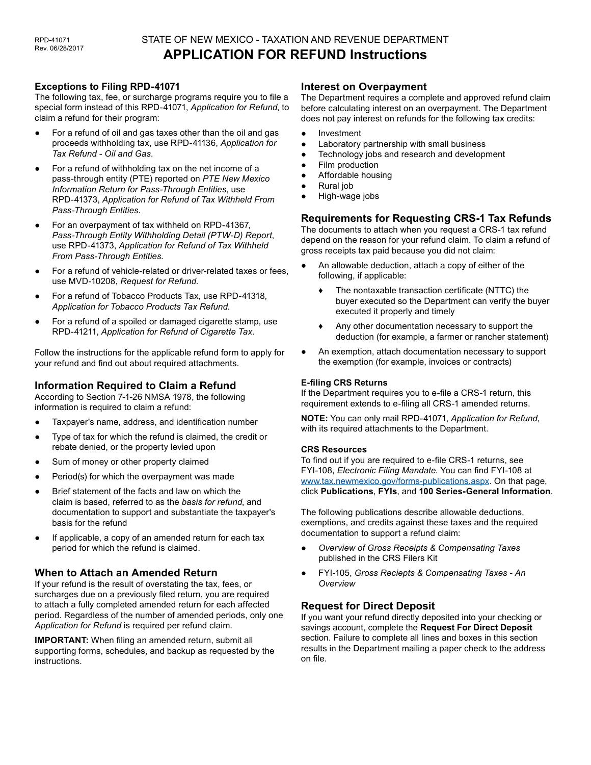## STATE OF NEW MEXICO - TAXATION AND REVENUE DEPARTMENT **APPLICATION FOR REFUND Instructions**

#### **Exceptions to Filing RPD-41071**

The following tax, fee, or surcharge programs require you to file a special form instead of this RPD-41071, *Application for Refund*, to claim a refund for their program:

- For a refund of oil and gas taxes other than the oil and gas proceeds withholding tax, use RPD-41136, *Application for Tax Refund - Oil and Gas.*
- For a refund of withholding tax on the net income of a pass-through entity (PTE) reported on *PTE New Mexico Information Return for Pass-Through Entities*, use RPD-41373, *Application for Refund of Tax Withheld From Pass-Through Entities*.
- For an overpayment of tax withheld on RPD-41367, *Pass-Through Entity Withholding Detail (PTW-D) Report*, use RPD-41373, *Application for Refund of Tax Withheld From Pass-Through Entities*.
- For a refund of vehicle-related or driver-related taxes or fees, use MVD-10208, *Request for Refund.*
- For a refund of Tobacco Products Tax, use RPD-41318*, Application for Tobacco Products Tax Refund*.
- For a refund of a spoiled or damaged cigarette stamp, use RPD-41211, *Application for Refund of Cigarette Tax*.

Follow the instructions for the applicable refund form to apply for your refund and find out about required attachments.

## **Information Required to Claim a Refund**

According to Section 7-1-26 NMSA 1978, the following information is required to claim a refund:

- Taxpayer's name, address, and identification number
- Type of tax for which the refund is claimed, the credit or rebate denied, or the property levied upon
- Sum of money or other property claimed
- Period(s) for which the overpayment was made
- Brief statement of the facts and law on which the claim is based, referred to as the *basis for refund*, and documentation to support and substantiate the taxpayer's basis for the refund
- If applicable, a copy of an amended return for each tax period for which the refund is claimed.

## **When to Attach an Amended Return**

If your refund is the result of overstating the tax, fees, or surcharges due on a previously filed return, you are required to attach a fully completed amended return for each affected period. Regardless of the number of amended periods, only one *Application for Refund* is required per refund claim.

**IMPORTANT:** When filing an amended return, submit all supporting forms, schedules, and backup as requested by the instructions.

#### **Interest on Overpayment**

The Department requires a complete and approved refund claim before calculating interest on an overpayment. The Department does not pay interest on refunds for the following tax credits:

- Investment
- Laboratory partnership with small business
- Technology jobs and research and development
- **Film production**
- Affordable housing
- Rural job
- High-wage jobs

## **Requirements for Requesting CRS-1 Tax Refunds**

The documents to attach when you request a CRS-1 tax refund depend on the reason for your refund claim. To claim a refund of gross receipts tax paid because you did not claim:

- An allowable deduction, attach a copy of either of the following, if applicable:
	- ♦ The nontaxable transaction certificate (NTTC) the buyer executed so the Department can verify the buyer executed it properly and timely
	- ♦ Any other documentation necessary to support the deduction (for example, a farmer or rancher statement)
- An exemption, attach documentation necessary to support the exemption (for example, invoices or contracts)

#### **E-filing CRS Returns**

If the Department requires you to e-file a CRS-1 return, this requirement extends to e-filing all CRS-1 amended returns.

**NOTE:** You can only mail RPD-41071, *Application for Refund*, with its required attachments to the Department.

#### **CRS Resources**

To find out if you are required to e-file CRS-1 returns, see FYI-108, *Electronic Filing Mandate*. You can find FYI-108 at [www.tax.newmexico.gov/forms-publications.aspx](http://www.tax.newmexico.gov/forms-publications.aspx). On that page, click **Publications**, **FYIs**, and **100 Series-General Information**.

The following publications describe allowable deductions, exemptions, and credits against these taxes and the required documentation to support a refund claim:

- *Overview of Gross Receipts & Compensating Taxes* published in the CRS Filers Kit
- FYI-105, *Gross Reciepts & Compensating Taxes An Overview*

## **Request for Direct Deposit**

If you want your refund directly deposited into your checking or savings account, complete the **Request For Direct Deposit** section. Failure to complete all lines and boxes in this section results in the Department mailing a paper check to the address on file.